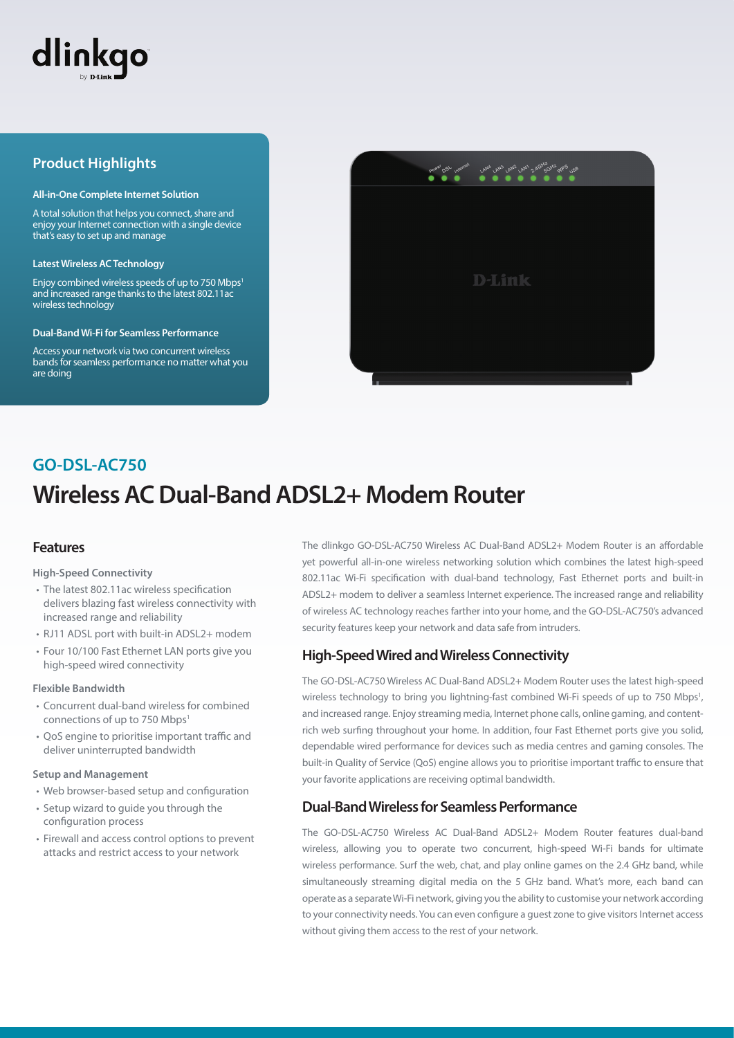

# **Product Highlights**

#### **All-in-One Complete Internet Solution**

A total solution that helps you connect, share and enjoy your Internet connection with a single device that's easy to set up and manage

#### **Latest Wireless AC Technology**

Enjoy combined wireless speeds of up to 750 Mbps<sup>1</sup> and increased range thanks to the latest 802.11ac wireless technology

#### **Dual-Band Wi-Fi for Seamless Performance**

Access your network via two concurrent wireless bands for seamless performance no matter what you are doing



# **Wireless AC Dual-Band ADSL2+ Modem Router GO-DSL-AC750**

### **Features**

#### **High-Speed Connectivity**

- The latest 802.11ac wireless specification delivers blazing fast wireless connectivity with increased range and reliability
- RJ11 ADSL port with built-in ADSL2+ modem
- Four 10/100 Fast Ethernet LAN ports give you high-speed wired connectivity

#### **Flexible Bandwidth**

- Concurrent dual-band wireless for combined connections of up to 750 Mbps<sup>1</sup>
- QoS engine to prioritise important traffic and deliver uninterrupted bandwidth

#### **Setup and Management**

- Web browser-based setup and configuration
- Setup wizard to guide you through the configuration process
- Firewall and access control options to prevent attacks and restrict access to your network

The dlinkgo GO-DSL-AC750 Wireless AC Dual-Band ADSL2+ Modem Router is an affordable yet powerful all-in-one wireless networking solution which combines the latest high-speed 802.11ac Wi-Fi specification with dual-band technology, Fast Ethernet ports and built-in ADSL2+ modem to deliver a seamless Internet experience. The increased range and reliability of wireless AC technology reaches farther into your home, and the GO-DSL-AC750's advanced security features keep your network and data safe from intruders.

## **High-Speed Wired and Wireless Connectivity**

The GO-DSL-AC750 Wireless AC Dual-Band ADSL2+ Modem Router uses the latest high-speed wireless technology to bring you lightning-fast combined Wi-Fi speeds of up to 750 Mbps<sup>1</sup>, and increased range. Enjoy streaming media, Internet phone calls, online gaming, and contentrich web surfing throughout your home. In addition, four Fast Ethernet ports give you solid, dependable wired performance for devices such as media centres and gaming consoles. The built-in Quality of Service (QoS) engine allows you to prioritise important traffic to ensure that your favorite applications are receiving optimal bandwidth.

## **Dual-Band Wireless for Seamless Performance**

The GO-DSL-AC750 Wireless AC Dual-Band ADSL2+ Modem Router features dual-band wireless, allowing you to operate two concurrent, high-speed Wi-Fi bands for ultimate wireless performance. Surf the web, chat, and play online games on the 2.4 GHz band, while simultaneously streaming digital media on the 5 GHz band. What's more, each band can operate as a separate Wi-Fi network, giving you the ability to customise your network according to your connectivity needs. You can even configure a guest zone to give visitors Internet access without giving them access to the rest of your network.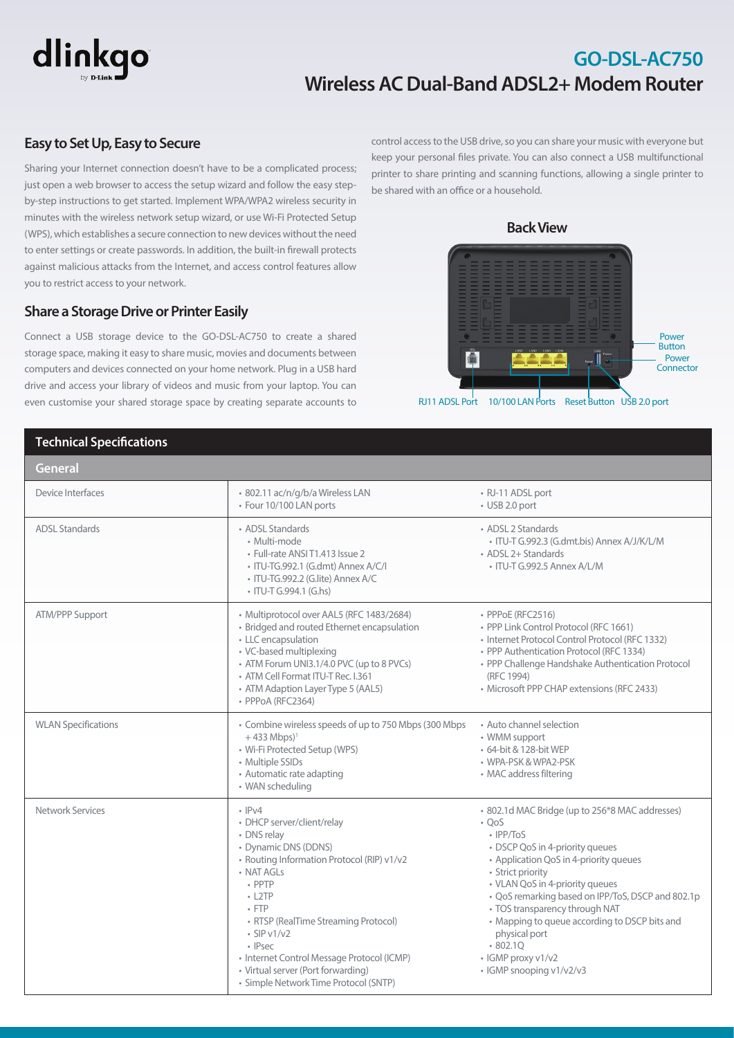# dlinkgo

# **GO-DSL-AC750 Wireless AC Dual-Band ADSL2+ Modem Router**

# **Easy to Set Up, Easy to Secure**

Sharing your Internet connection doesn't have to be a complicated process; just open a web browser to access the setup wizard and follow the easy stepby-step instructions to get started. Implement WPA/WPA2 wireless security in minutes with the wireless network setup wizard, or use Wi-Fi Protected Setup (WPS), which establishes a secure connection to new devices without the need to enter settings or create passwords. In addition, the built-in firewall protects against malicious attacks from the Internet, and access control features allow you to restrict access to your network.

# **Share a Storage Drive or Printer Easily**

Connect a USB storage device to the GO-DSL-AC750 to create a shared storage space, making it easy to share music, movies and documents between computers and devices connected on your home network. Plug in a USB hard drive and access your library of videos and music from your laptop. You can even customise your shared storage space by creating separate accounts to

control access to the USB drive, so you can share your music with everyone but keep your personal files private. You can also connect a USB multifunctional printer to share printing and scanning functions, allowing a single printer to be shared with an office or a household.



# **Technical Specifications**

| <b>General</b>             |                                                                                                                                                                                                                                                                                                                                                                                                    |                                                                                                                                                                                                                                                                                                                                                                                                                                             |  |
|----------------------------|----------------------------------------------------------------------------------------------------------------------------------------------------------------------------------------------------------------------------------------------------------------------------------------------------------------------------------------------------------------------------------------------------|---------------------------------------------------------------------------------------------------------------------------------------------------------------------------------------------------------------------------------------------------------------------------------------------------------------------------------------------------------------------------------------------------------------------------------------------|--|
| Device Interfaces          | · 802.11 ac/n/g/b/a Wireless LAN<br>• Four 10/100 LAN ports                                                                                                                                                                                                                                                                                                                                        | • RJ-11 ADSL port<br>• USB 2.0 port                                                                                                                                                                                                                                                                                                                                                                                                         |  |
| <b>ADSL Standards</b>      | • ADSL Standards<br>· Multi-mode<br>• Full-rate ANSI T1.413 Issue 2<br>• ITU-TG.992.1 (G.dmt) Annex A/C/I<br>· ITU-TG.992.2 (G.lite) Annex A/C<br>· ITU-T G.994.1 (G.hs)                                                                                                                                                                                                                           | • ADSL 2 Standards<br>· ITU-T G.992.3 (G.dmt.bis) Annex A/J/K/L/M<br>• ADSL 2+ Standards<br>• ITU-T G.992.5 Annex A/L/M                                                                                                                                                                                                                                                                                                                     |  |
| <b>ATM/PPP Support</b>     | · Multiprotocol over AAL5 (RFC 1483/2684)<br>• Bridged and routed Ethernet encapsulation<br>• LLC encapsulation<br>• VC-based multiplexing<br>• ATM Forum UNI3.1/4.0 PVC (up to 8 PVCs)<br>• ATM Cell Format ITU-T Rec. I.361<br>• ATM Adaption Layer Type 5 (AAL5)<br>• PPPoA (RFC2364)                                                                                                           | • PPPoE (RFC2516)<br>• PPP Link Control Protocol (RFC 1661)<br>• Internet Protocol Control Protocol (RFC 1332)<br>• PPP Authentication Protocol (RFC 1334)<br>• PPP Challenge Handshake Authentication Protocol<br>(RFC 1994)<br>• Microsoft PPP CHAP extensions (RFC 2433)                                                                                                                                                                 |  |
| <b>WLAN Specifications</b> | • Combine wireless speeds of up to 750 Mbps (300 Mbps<br>$+433$ Mbps) <sup>1</sup><br>• Wi-Fi Protected Setup (WPS)<br>• Multiple SSIDs<br>• Automatic rate adapting<br>• WAN scheduling                                                                                                                                                                                                           | • Auto channel selection<br>• WMM support<br>• 64-bit & 128-bit WEP<br>• WPA-PSK & WPA2-PSK<br>• MAC address filtering                                                                                                                                                                                                                                                                                                                      |  |
| Network Services           | $\cdot$ IPv4<br>• DHCP server/client/relay<br>• DNS relay<br>• Dynamic DNS (DDNS)<br>• Routing Information Protocol (RIP) v1/v2<br>• NAT AGLs<br>$\cdot$ PPTP<br>$-L2TP$<br>$\cdot$ FTP<br>• RTSP (RealTime Streaming Protocol)<br>$\cdot$ SIP v1/v2<br>$\cdot$ IPsec<br>• Internet Control Message Protocol (ICMP)<br>• Virtual server (Port forwarding)<br>· Simple Network Time Protocol (SNTP) | • 802.1d MAC Bridge (up to 256*8 MAC addresses)<br>$\cdot$ OoS<br>$\cdot$ IPP/ToS<br>• DSCP QoS in 4-priority queues<br>• Application QoS in 4-priority queues<br>• Strict priority<br>• VLAN QoS in 4-priority queues<br>• QoS remarking based on IPP/ToS, DSCP and 802.1p<br>• TOS transparency through NAT<br>• Mapping to queue according to DSCP bits and<br>physical port<br>802.1Q<br>· IGMP proxy v1/v2<br>· IGMP snooping v1/v2/v3 |  |